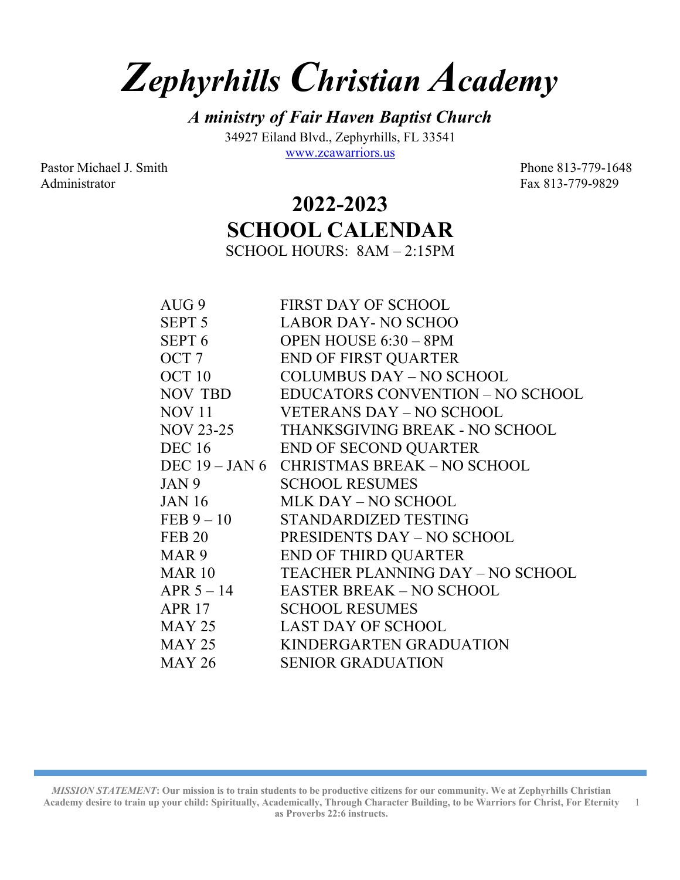## **Zephyrhills Christian Academy**

**A ministry of Fair Haven Baptist Church** 34927 Eiland Blvd., Zephyrhills, FL 33541 www.zcawarriors.us

Pastor Michael J. Smith Phone 813-779-1648 Administrator Fax 813-779-9829

## **2022-2023 SCHOOL CALENDAR**

SCHOOL HOURS: 8AM – 2:15PM

| AUG 9             | <b>FIRST DAY OF SCHOOL</b>                 |
|-------------------|--------------------------------------------|
| SEPT 5            | <b>LABOR DAY-NO SCHOO</b>                  |
|                   | SEPT 6 OPEN HOUSE 6:30 - 8PM               |
| OCT 7             | <b>END OF FIRST QUARTER</b>                |
| OCT <sub>10</sub> | COLUMBUS DAY – NO SCHOOL                   |
|                   | NOV TBD EDUCATORS CONVENTION – NO SCHOOL   |
|                   | NOV 11 VETERANS DAY – NO SCHOOL            |
|                   | NOV 23-25 THANKSGIVING BREAK - NO SCHOOL   |
| <b>DEC</b> 16     | <b>END OF SECOND QUARTER</b>               |
|                   | DEC 19 - JAN 6 CHRISTMAS BREAK - NO SCHOOL |
| JAN 9             | <b>SCHOOL RESUMES</b>                      |
| JAN 16            | MLK DAY – NO SCHOOL                        |
|                   | FEB 9-10 STANDARDIZED TESTING              |
| <b>FEB 20</b>     | <b>PRESIDENTS DAY – NO SCHOOL</b>          |
| MAR <sub>9</sub>  | <b>END OF THIRD QUARTER</b>                |
|                   | MAR 10 TEACHER PLANNING DAY - NO SCHOOL    |
|                   | APR 5-14 EASTER BREAK-NO SCHOOL            |
| APR 17            | <b>SCHOOL RESUMES</b>                      |
|                   | MAY 25 LAST DAY OF SCHOOL                  |
| MAY 25            | KINDERGARTEN GRADUATION                    |
| MAY 26            | <b>SENIOR GRADUATION</b>                   |

*MISSION STATEMENT***: Our mission is to train students to be productive citizens for our community. We at Zephyrhills Christian Academy desire to train up your child: Spiritually, Academically, Through Character Building, to be Warriors for Christ, For Eternity as Proverbs 22:6 instructs.** 1